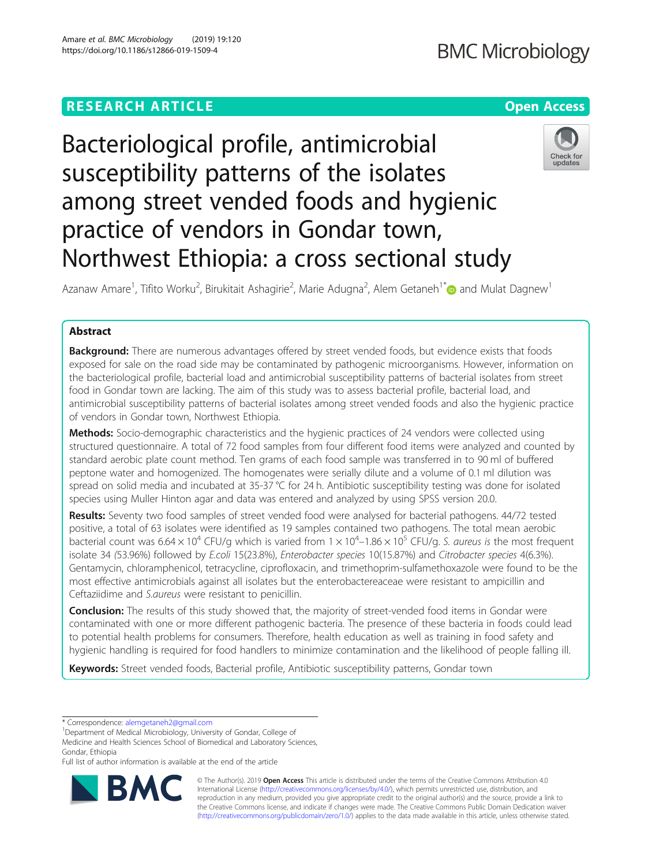# **RESEARCH ARTICLE Example 2018 12:30 THE Open Access**



Bacteriological profile, antimicrobial susceptibility patterns of the isolates among street vended foods and hygienic practice of vendors in Gondar town, Northwest Ethiopia: a cross sectional study

Azanaw Amare<sup>1</sup>, Tifito Worku<sup>2</sup>, Birukitait Ashagirie<sup>2</sup>, Marie Adugna<sup>2</sup>, Alem Getaneh<sup>1[\\*](http://orcid.org/0000-0003-1608-6737)</sup> and Mulat Dagnew<sup>1</sup>

## Abstract

**Background:** There are numerous advantages offered by street vended foods, but evidence exists that foods exposed for sale on the road side may be contaminated by pathogenic microorganisms. However, information on the bacteriological profile, bacterial load and antimicrobial susceptibility patterns of bacterial isolates from street food in Gondar town are lacking. The aim of this study was to assess bacterial profile, bacterial load, and antimicrobial susceptibility patterns of bacterial isolates among street vended foods and also the hygienic practice of vendors in Gondar town, Northwest Ethiopia.

Methods: Socio-demographic characteristics and the hygienic practices of 24 vendors were collected using structured questionnaire. A total of 72 food samples from four different food items were analyzed and counted by standard aerobic plate count method. Ten grams of each food sample was transferred in to 90 ml of buffered peptone water and homogenized. The homogenates were serially dilute and a volume of 0.1 ml dilution was spread on solid media and incubated at 35-37 °C for 24 h. Antibiotic susceptibility testing was done for isolated species using Muller Hinton agar and data was entered and analyzed by using SPSS version 20.0.

Results: Seventy two food samples of street vended food were analysed for bacterial pathogens. 44/72 tested positive, a total of 63 isolates were identified as 19 samples contained two pathogens. The total mean aerobic bacterial count was 6.64 x 10<sup>4</sup> CFU/g which is varied from  $1 \times 10^4$ –1.86 x 10<sup>5</sup> CFU/g. S. aureus is the most frequent isolate 34 (53.96%) followed by E.coli 15(23.8%), Enterobacter species 10(15.87%) and Citrobacter species 4(6.3%). Gentamycin, chloramphenicol, tetracycline, ciprofloxacin, and trimethoprim-sulfamethoxazole were found to be the most effective antimicrobials against all isolates but the enterobactereaceae were resistant to ampicillin and Ceftaziidime and S.aureus were resistant to penicillin.

**Conclusion:** The results of this study showed that, the majority of street-vended food items in Gondar were contaminated with one or more different pathogenic bacteria. The presence of these bacteria in foods could lead to potential health problems for consumers. Therefore, health education as well as training in food safety and hygienic handling is required for food handlers to minimize contamination and the likelihood of people falling ill.

Keywords: Street vended foods, Bacterial profile, Antibiotic susceptibility patterns, Gondar town

<sup>1</sup>Department of Medical Microbiology, University of Gondar, College of Medicine and Health Sciences School of Biomedical and Laboratory Sciences,

Gondar, Ethiopia

Full list of author information is available at the end of the article



© The Author(s). 2019 **Open Access** This article is distributed under the terms of the Creative Commons Attribution 4.0 International License [\(http://creativecommons.org/licenses/by/4.0/](http://creativecommons.org/licenses/by/4.0/)), which permits unrestricted use, distribution, and reproduction in any medium, provided you give appropriate credit to the original author(s) and the source, provide a link to the Creative Commons license, and indicate if changes were made. The Creative Commons Public Domain Dedication waiver [\(http://creativecommons.org/publicdomain/zero/1.0/](http://creativecommons.org/publicdomain/zero/1.0/)) applies to the data made available in this article, unless otherwise stated.

<sup>\*</sup> Correspondence: [alemgetaneh2@gmail.com](mailto:alemgetaneh2@gmail.com) <sup>1</sup>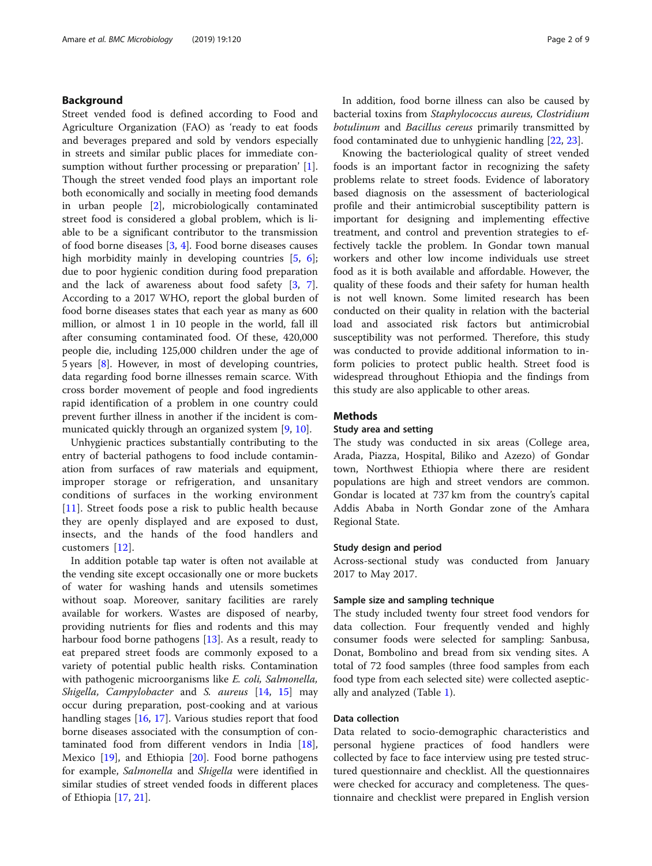## Background

Street vended food is defined according to Food and Agriculture Organization (FAO) as 'ready to eat foods and beverages prepared and sold by vendors especially in streets and similar public places for immediate con-sumption without further processing or preparation' [\[1](#page-7-0)]. Though the street vended food plays an important role both economically and socially in meeting food demands in urban people [\[2](#page-7-0)], microbiologically contaminated street food is considered a global problem, which is liable to be a significant contributor to the transmission of food borne diseases [[3,](#page-7-0) [4\]](#page-7-0). Food borne diseases causes high morbidity mainly in developing countries [[5,](#page-7-0) [6](#page-7-0)]; due to poor hygienic condition during food preparation and the lack of awareness about food safety [\[3,](#page-7-0) [7](#page-7-0)]. According to a 2017 WHO, report the global burden of food borne diseases states that each year as many as 600 million, or almost 1 in 10 people in the world, fall ill after consuming contaminated food. Of these, 420,000 people die, including 125,000 children under the age of 5 years [\[8](#page-7-0)]. However, in most of developing countries, data regarding food borne illnesses remain scarce. With cross border movement of people and food ingredients rapid identification of a problem in one country could prevent further illness in another if the incident is communicated quickly through an organized system [[9,](#page-7-0) [10\]](#page-7-0).

Unhygienic practices substantially contributing to the entry of bacterial pathogens to food include contamination from surfaces of raw materials and equipment, improper storage or refrigeration, and unsanitary conditions of surfaces in the working environment [[11](#page-7-0)]. Street foods pose a risk to public health because they are openly displayed and are exposed to dust, insects, and the hands of the food handlers and customers [[12](#page-7-0)].

In addition potable tap water is often not available at the vending site except occasionally one or more buckets of water for washing hands and utensils sometimes without soap. Moreover, sanitary facilities are rarely available for workers. Wastes are disposed of nearby, providing nutrients for flies and rodents and this may harbour food borne pathogens [[13\]](#page-7-0). As a result, ready to eat prepared street foods are commonly exposed to a variety of potential public health risks. Contamination with pathogenic microorganisms like E. coli, Salmonella, Shigella, Campylobacter and S. aureus [\[14,](#page-7-0) [15](#page-7-0)] may occur during preparation, post-cooking and at various handling stages [[16,](#page-7-0) [17\]](#page-7-0). Various studies report that food borne diseases associated with the consumption of contaminated food from different vendors in India [\[18](#page-7-0)], Mexico [[19\]](#page-7-0), and Ethiopia [[20\]](#page-7-0). Food borne pathogens for example, Salmonella and Shigella were identified in similar studies of street vended foods in different places of Ethiopia [[17](#page-7-0), [21](#page-7-0)].

In addition, food borne illness can also be caused by bacterial toxins from Staphylococcus aureus, Clostridium botulinum and Bacillus cereus primarily transmitted by food contaminated due to unhygienic handling [[22,](#page-7-0) [23\]](#page-7-0).

Knowing the bacteriological quality of street vended foods is an important factor in recognizing the safety problems relate to street foods. Evidence of laboratory based diagnosis on the assessment of bacteriological profile and their antimicrobial susceptibility pattern is important for designing and implementing effective treatment, and control and prevention strategies to effectively tackle the problem. In Gondar town manual workers and other low income individuals use street food as it is both available and affordable. However, the quality of these foods and their safety for human health is not well known. Some limited research has been conducted on their quality in relation with the bacterial load and associated risk factors but antimicrobial susceptibility was not performed. Therefore, this study was conducted to provide additional information to inform policies to protect public health. Street food is widespread throughout Ethiopia and the findings from this study are also applicable to other areas.

### Methods

#### Study area and setting

The study was conducted in six areas (College area, Arada, Piazza, Hospital, Biliko and Azezo) of Gondar town, Northwest Ethiopia where there are resident populations are high and street vendors are common. Gondar is located at 737 km from the country's capital Addis Ababa in North Gondar zone of the Amhara Regional State.

## Study design and period

Across-sectional study was conducted from January 2017 to May 2017.

## Sample size and sampling technique

The study included twenty four street food vendors for data collection. Four frequently vended and highly consumer foods were selected for sampling: Sanbusa, Donat, Bombolino and bread from six vending sites. A total of 72 food samples (three food samples from each food type from each selected site) were collected aseptically and analyzed (Table [1\)](#page-2-0).

## Data collection

Data related to socio-demographic characteristics and personal hygiene practices of food handlers were collected by face to face interview using pre tested structured questionnaire and checklist. All the questionnaires were checked for accuracy and completeness. The questionnaire and checklist were prepared in English version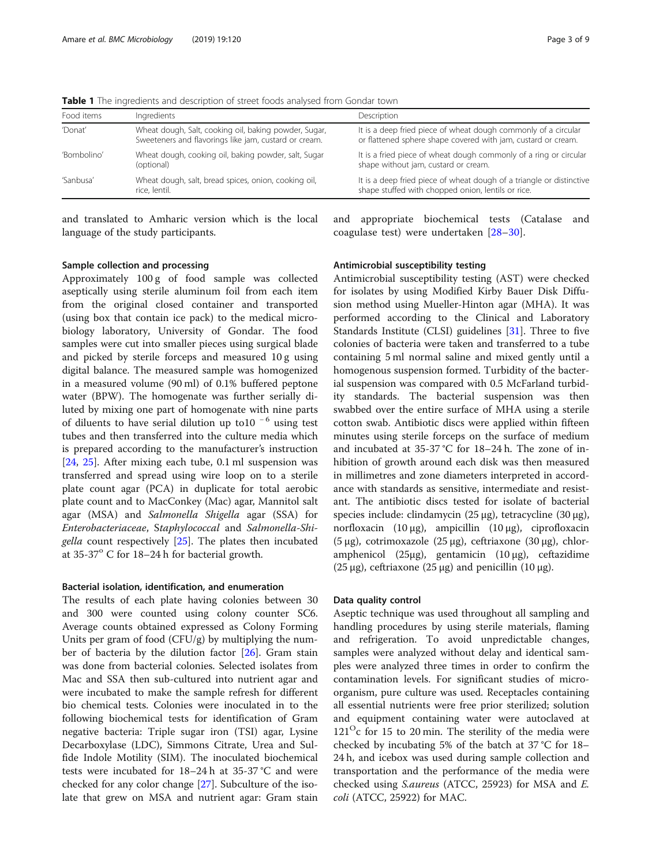| Ingredients                                           | Description                                                          |  |  |
|-------------------------------------------------------|----------------------------------------------------------------------|--|--|
| Wheat dough, Salt, cooking oil, baking powder, Sugar, | It is a deep fried piece of wheat dough commonly of a circular       |  |  |
| Sweeteners and flavorings like jam, custard or cream. | or flattened sphere shape covered with jam, custard or cream.        |  |  |
| Wheat dough, cooking oil, baking powder, salt, Sugar  | It is a fried piece of wheat dough commonly of a ring or circular    |  |  |
| (optional)                                            | shape without jam, custard or cream.                                 |  |  |
| Wheat dough, salt, bread spices, onion, cooking oil,  | It is a deep fried piece of wheat dough of a triangle or distinctive |  |  |
| rice. lentil.                                         | shape stuffed with chopped onion, lentils or rice.                   |  |  |
|                                                       |                                                                      |  |  |

<span id="page-2-0"></span>Table 1 The ingredients and description of street foods analysed from Gondar town

and translated to Amharic version which is the local language of the study participants.

## Sample collection and processing

Approximately 100 g of food sample was collected aseptically using sterile aluminum foil from each item from the original closed container and transported (using box that contain ice pack) to the medical microbiology laboratory, University of Gondar. The food samples were cut into smaller pieces using surgical blade and picked by sterile forceps and measured 10 g using digital balance. The measured sample was homogenized in a measured volume (90 ml) of 0.1% buffered peptone water (BPW). The homogenate was further serially diluted by mixing one part of homogenate with nine parts of diluents to have serial dilution up to10<sup> $-6$ </sup> using test tubes and then transferred into the culture media which is prepared according to the manufacturer's instruction [[24,](#page-7-0) [25\]](#page-7-0). After mixing each tube, 0.1 ml suspension was transferred and spread using wire loop on to a sterile plate count agar (PCA) in duplicate for total aerobic plate count and to MacConkey (Mac) agar, Mannitol salt agar (MSA) and Salmonella Shigella agar (SSA) for Enterobacteriaceae, Staphylococcal and Salmonella-Shigella count respectively [[25](#page-7-0)]. The plates then incubated at  $35-37^{\circ}$  C for  $18-24$  h for bacterial growth.

## Bacterial isolation, identification, and enumeration

The results of each plate having colonies between 30 and 300 were counted using colony counter SC6. Average counts obtained expressed as Colony Forming Units per gram of food (CFU/g) by multiplying the number of bacteria by the dilution factor [\[26](#page-7-0)]. Gram stain was done from bacterial colonies. Selected isolates from Mac and SSA then sub-cultured into nutrient agar and were incubated to make the sample refresh for different bio chemical tests. Colonies were inoculated in to the following biochemical tests for identification of Gram negative bacteria: Triple sugar iron (TSI) agar, Lysine Decarboxylase (LDC), Simmons Citrate, Urea and Sulfide Indole Motility (SIM). The inoculated biochemical tests were incubated for 18–24 h at 35-37 °C and were checked for any color change [\[27](#page-7-0)]. Subculture of the isolate that grew on MSA and nutrient agar: Gram stain

#### Antimicrobial susceptibility testing

coagulase test) were undertaken [[28](#page-8-0)–[30\]](#page-8-0).

Antimicrobial susceptibility testing (AST) were checked for isolates by using Modified Kirby Bauer Disk Diffusion method using Mueller-Hinton agar (MHA). It was performed according to the Clinical and Laboratory Standards Institute (CLSI) guidelines [\[31](#page-8-0)]. Three to five colonies of bacteria were taken and transferred to a tube containing 5 ml normal saline and mixed gently until a homogenous suspension formed. Turbidity of the bacterial suspension was compared with 0.5 McFarland turbidity standards. The bacterial suspension was then swabbed over the entire surface of MHA using a sterile cotton swab. Antibiotic discs were applied within fifteen minutes using sterile forceps on the surface of medium and incubated at 35-37 °C for 18–24 h. The zone of inhibition of growth around each disk was then measured in millimetres and zone diameters interpreted in accordance with standards as sensitive, intermediate and resistant. The antibiotic discs tested for isolate of bacterial species include: clindamycin (25 μg), tetracycline (30 μg), norfloxacin (10 μg), ampicillin (10 μg), ciprofloxacin (5 μg), cotrimoxazole (25 μg), ceftriaxone (30 μg), chloramphenicol (25μg), gentamicin (10 μg), ceftazidime (25 μg), ceftriaxone (25 μg) and penicillin (10 μg).

and appropriate biochemical tests (Catalase and

## Data quality control

Aseptic technique was used throughout all sampling and handling procedures by using sterile materials, flaming and refrigeration. To avoid unpredictable changes, samples were analyzed without delay and identical samples were analyzed three times in order to confirm the contamination levels. For significant studies of microorganism, pure culture was used. Receptacles containing all essential nutrients were free prior sterilized; solution and equipment containing water were autoclaved at  $121^{\circ}$ c for 15 to 20 min. The sterility of the media were checked by incubating 5% of the batch at 37 °C for 18– 24 h, and icebox was used during sample collection and transportation and the performance of the media were checked using S.aureus (ATCC, 25923) for MSA and E. coli (ATCC, 25922) for MAC.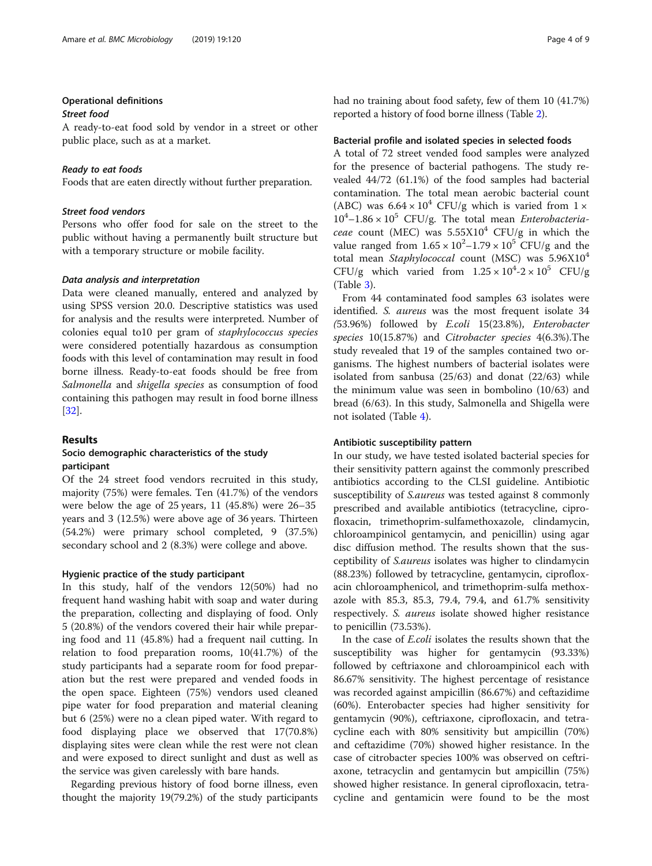## Operational definitions

#### Street food

A ready-to-eat food sold by vendor in a street or other public place, such as at a market.

#### Ready to eat foods

Foods that are eaten directly without further preparation.

## Street food vendors

Persons who offer food for sale on the street to the public without having a permanently built structure but with a temporary structure or mobile facility.

## Data analysis and interpretation

Data were cleaned manually, entered and analyzed by using SPSS version 20.0. Descriptive statistics was used for analysis and the results were interpreted. Number of colonies equal to10 per gram of staphylococcus species were considered potentially hazardous as consumption foods with this level of contamination may result in food borne illness. Ready-to-eat foods should be free from Salmonella and shigella species as consumption of food containing this pathogen may result in food borne illness [[32\]](#page-8-0).

## Results

## Socio demographic characteristics of the study participant

Of the 24 street food vendors recruited in this study, majority (75%) were females. Ten (41.7%) of the vendors were below the age of 25 years, 11 (45.8%) were 26–35 years and 3 (12.5%) were above age of 36 years. Thirteen (54.2%) were primary school completed, 9 (37.5%) secondary school and 2 (8.3%) were college and above.

## Hygienic practice of the study participant

In this study, half of the vendors 12(50%) had no frequent hand washing habit with soap and water during the preparation, collecting and displaying of food. Only 5 (20.8%) of the vendors covered their hair while preparing food and 11 (45.8%) had a frequent nail cutting. In relation to food preparation rooms, 10(41.7%) of the study participants had a separate room for food preparation but the rest were prepared and vended foods in the open space. Eighteen (75%) vendors used cleaned pipe water for food preparation and material cleaning but 6 (25%) were no a clean piped water. With regard to food displaying place we observed that 17(70.8%) displaying sites were clean while the rest were not clean and were exposed to direct sunlight and dust as well as the service was given carelessly with bare hands.

Regarding previous history of food borne illness, even thought the majority 19(79.2%) of the study participants had no training about food safety, few of them 10 (41.7%) reported a history of food borne illness (Table [2\)](#page-4-0).

## Bacterial profile and isolated species in selected foods

A total of 72 street vended food samples were analyzed for the presence of bacterial pathogens. The study revealed 44/72 (61.1%) of the food samples had bacterial contamination. The total mean aerobic bacterial count (ABC) was  $6.64 \times 10^4$  CFU/g which is varied from  $1 \times$  $10^4 - 1.86 \times 10^5$  CFU/g. The total mean *Enterobacteria*ceae count (MEC) was  $5.55X10<sup>4</sup>$  CFU/g in which the value ranged from  $1.65 \times 10^2 - 1.79 \times 10^5$  CFU/g and the total mean Staphylococcal count (MSC) was 5.96X10<sup>4</sup> CFU/g which varied from  $1.25 \times 10^4$ -2  $\times 10^5$  CFU/g (Table [3\)](#page-5-0).

From 44 contaminated food samples 63 isolates were identified. S. aureus was the most frequent isolate 34 (53.96%) followed by E.coli 15(23.8%), Enterobacter species 10(15.87%) and Citrobacter species 4(6.3%).The study revealed that 19 of the samples contained two organisms. The highest numbers of bacterial isolates were isolated from sanbusa (25/63) and donat (22/63) while the minimum value was seen in bombolino (10/63) and bread (6/63). In this study, Salmonella and Shigella were not isolated (Table [4\)](#page-5-0).

## Antibiotic susceptibility pattern

In our study, we have tested isolated bacterial species for their sensitivity pattern against the commonly prescribed antibiotics according to the CLSI guideline. Antibiotic susceptibility of S.aureus was tested against 8 commonly prescribed and available antibiotics (tetracycline, ciprofloxacin, trimethoprim-sulfamethoxazole, clindamycin, chloroampinicol gentamycin, and penicillin) using agar disc diffusion method. The results shown that the susceptibility of S.aureus isolates was higher to clindamycin (88.23%) followed by tetracycline, gentamycin, ciprofloxacin chloroamphenicol, and trimethoprim-sulfa methoxazole with 85.3, 85.3, 79.4, 79.4, and 61.7% sensitivity respectively. S. aureus isolate showed higher resistance to penicillin (73.53%).

In the case of E.coli isolates the results shown that the susceptibility was higher for gentamycin (93.33%) followed by ceftriaxone and chloroampinicol each with 86.67% sensitivity. The highest percentage of resistance was recorded against ampicillin (86.67%) and ceftazidime (60%). Enterobacter species had higher sensitivity for gentamycin (90%), ceftriaxone, ciprofloxacin, and tetracycline each with 80% sensitivity but ampicillin (70%) and ceftazidime (70%) showed higher resistance. In the case of citrobacter species 100% was observed on ceftriaxone, tetracyclin and gentamycin but ampicillin (75%) showed higher resistance. In general ciprofloxacin, tetracycline and gentamicin were found to be the most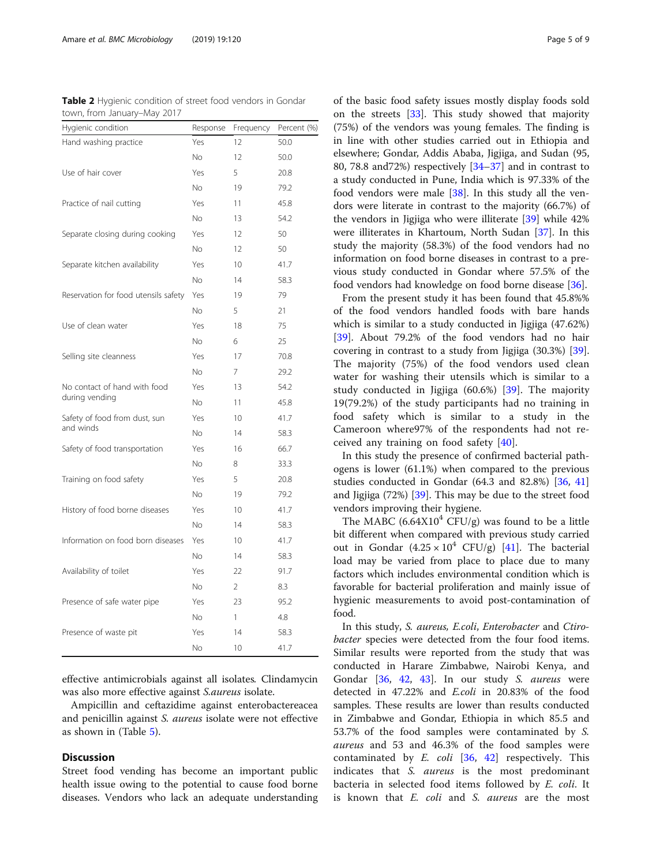| Hygienic condition                   | Response  | Frequency | Percent (%) |
|--------------------------------------|-----------|-----------|-------------|
| Hand washing practice                | Yes       | 12        | 50.0        |
|                                      | No        | 12        | 50.0        |
| Use of hair cover                    | Yes       | 5         | 20.8        |
|                                      | No.       | 19        | 79.2        |
| Practice of nail cutting             | Yes       | 11        | 45.8        |
|                                      | No        | 13        | 54.2        |
| Separate closing during cooking      | Yes       | 12        | 50          |
|                                      | No.       | 12        | 50          |
| Separate kitchen availability        | Yes       | 10        | 41.7        |
|                                      | No        | 14        | 58.3        |
| Reservation for food utensils safety | Yes       | 19        | 79          |
|                                      | No.       | 5         | 21          |
| Use of clean water                   | Yes       | 18        | 75          |
|                                      | No        | 6         | 25          |
| Selling site cleanness               | Yes       | 17        | 70.8        |
|                                      | No        | 7         | 29.2        |
| No contact of hand with food         | Yes       | 13        | 54.2        |
| during vending                       | No        | 11        | 45.8        |
| Safety of food from dust, sun        | Yes       | 10        | 41.7        |
| and winds                            | No        | 14        | 58.3        |
| Safety of food transportation        | Yes       | 16        | 66.7        |
|                                      | No        | 8         | 33.3        |
| Training on food safety              | Yes       | 5         | 20.8        |
|                                      | <b>No</b> | 19        | 79.2        |
| History of food borne diseases       | Yes       | 10        | 41.7        |
|                                      | No        | 14        | 58.3        |
| Information on food born diseases    | Yes       | 10        | 41.7        |
|                                      | No.       | 14        | 58.3        |
| Availability of toilet               | Yes       | 22        | 91.7        |
|                                      | No        | 2         | 8.3         |
| Presence of safe water pipe          | Yes       | 23        | 95.2        |
|                                      | <b>No</b> | 1         | 4.8         |
| Presence of waste pit                | Yes       | 14        | 58.3        |
|                                      | No        | 10        | 41.7        |

<span id="page-4-0"></span>Table 2 Hygienic condition of street food vendors in Gondar town, from January–May 2017

effective antimicrobials against all isolates. Clindamycin was also more effective against S.aureus isolate.

Ampicillin and ceftazidime against enterobactereacea and penicillin against *S. aureus* isolate were not effective as shown in (Table [5](#page-6-0)).

## **Discussion**

Street food vending has become an important public health issue owing to the potential to cause food borne diseases. Vendors who lack an adequate understanding

of the basic food safety issues mostly display foods sold on the streets [[33](#page-8-0)]. This study showed that majority (75%) of the vendors was young females. The finding is in line with other studies carried out in Ethiopia and elsewhere; Gondar, Addis Ababa, Jigjiga, and Sudan (95, 80, 78.8 and72%) respectively [\[34](#page-8-0)–[37\]](#page-8-0) and in contrast to a study conducted in Pune, India which is 97.33% of the food vendors were male [\[38](#page-8-0)]. In this study all the vendors were literate in contrast to the majority (66.7%) of the vendors in Jigjiga who were illiterate [\[39\]](#page-8-0) while 42% were illiterates in Khartoum, North Sudan [[37](#page-8-0)]. In this study the majority (58.3%) of the food vendors had no information on food borne diseases in contrast to a previous study conducted in Gondar where 57.5% of the food vendors had knowledge on food borne disease [[36](#page-8-0)].

From the present study it has been found that 45.8%% of the food vendors handled foods with bare hands which is similar to a study conducted in Jigjiga (47.62%) [[39\]](#page-8-0). About 79.2% of the food vendors had no hair covering in contrast to a study from Jigjiga (30.3%) [\[39](#page-8-0)]. The majority (75%) of the food vendors used clean water for washing their utensils which is similar to a study conducted in Jigjiga (60.6%) [\[39](#page-8-0)]. The majority 19(79.2%) of the study participants had no training in food safety which is similar to a study in the Cameroon where97% of the respondents had not received any training on food safety [[40\]](#page-8-0).

In this study the presence of confirmed bacterial pathogens is lower (61.1%) when compared to the previous studies conducted in Gondar (64.3 and 82.8%) [\[36](#page-8-0), [41](#page-8-0)] and Jigjiga (72%) [\[39\]](#page-8-0). This may be due to the street food vendors improving their hygiene.

The MABC (6.64X10<sup>4</sup> CFU/g) was found to be a little bit different when compared with previous study carried out in Gondar  $(4.25 \times 10^4 \text{ CFU/g})$  [[41](#page-8-0)]. The bacterial load may be varied from place to place due to many factors which includes environmental condition which is favorable for bacterial proliferation and mainly issue of hygienic measurements to avoid post-contamination of food.

In this study, S. aureus, E.coli, Enterobacter and Ctirobacter species were detected from the four food items. Similar results were reported from the study that was conducted in Harare Zimbabwe, Nairobi Kenya, and Gondar [[36,](#page-8-0) [42,](#page-8-0) [43\]](#page-8-0). In our study S. aureus were detected in 47.22% and E.coli in 20.83% of the food samples. These results are lower than results conducted in Zimbabwe and Gondar, Ethiopia in which 85.5 and 53.7% of the food samples were contaminated by S. aureus and 53 and 46.3% of the food samples were contaminated by  $E.$  coli  $[36, 42]$  $[36, 42]$  $[36, 42]$  $[36, 42]$  respectively. This indicates that S. aureus is the most predominant bacteria in selected food items followed by E. coli. It is known that E. coli and S. aureus are the most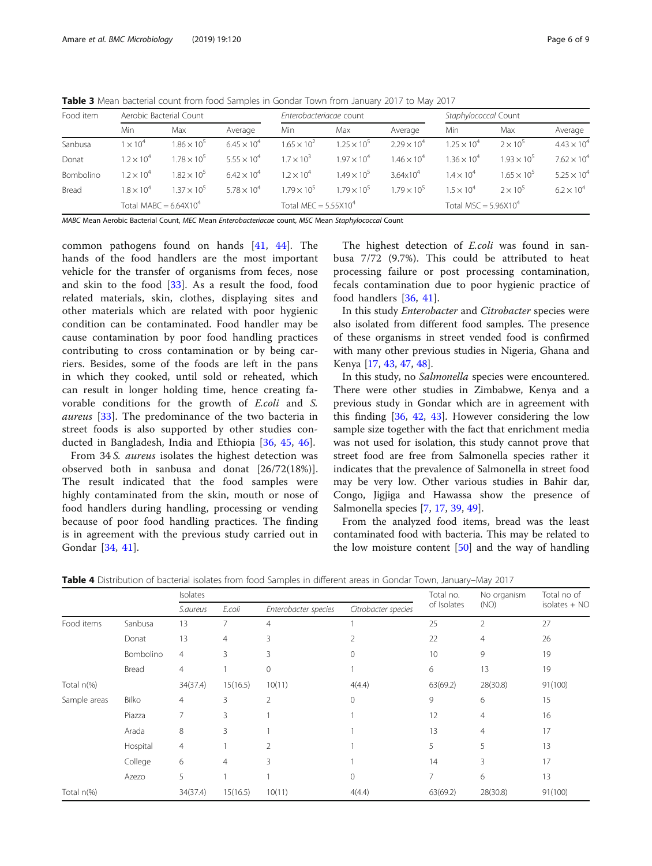| Food item                     | Aerobic Bacterial Count |                      |                              | Enterobacteriacae count |                      |                              | Staphylococcal Count |                      |                      |
|-------------------------------|-------------------------|----------------------|------------------------------|-------------------------|----------------------|------------------------------|----------------------|----------------------|----------------------|
|                               | <b>Min</b>              | Max                  | Average                      | Min                     | Max                  | Average                      | Min                  | Max                  | Average              |
| Sanbusa                       | $1\times10^4$           | $1.86 \times 10^{5}$ | $6.45 \times 10^{4}$         | $1.65 \times 10^{2}$    | $1.25 \times 10^{5}$ | $229 \times 10^{4}$          | $1.25 \times 10^{4}$ | $2 \times 10^5$      | $4.43 \times 10^{4}$ |
| Donat                         | $1.2 \times 10^{4}$     | $1.78 \times 10^{5}$ | $5.55 \times 10^4$           | $17 \times 10^3$        | $1.97 \times 10^{4}$ | $1.46 \times 10^{4}$         | $1.36 \times 10^4$   | $1.93 \times 10^{5}$ | $7.62 \times 10^{4}$ |
| Bombolino                     | $1.2 \times 10^{4}$     | $1.82 \times 10^{5}$ | $6.42 \times 10^{4}$         | $12 \times 10^4$        | $1.49 \times 10^{5}$ | $3.64 \times 10^{4}$         | $1.4 \times 10^{4}$  | $1.65 \times 10^{5}$ | $5.25 \times 10^{4}$ |
| Bread                         | $1.8 \times 10^{4}$     | $1.37 \times 10^{5}$ | $5.78 \times 10^{4}$         | $179 \times 10^{5}$     | $179 \times 10^{5}$  | $179 \times 10^{5}$          | $1.5 \times 10^{4}$  | $2 \times 10^5$      | $6.2 \times 10^{4}$  |
| Total MABC = $6.64\times10^4$ |                         |                      | Total MEC = $5.55\times10^4$ |                         |                      | Total MSC = $5.96\times10^4$ |                      |                      |                      |

<span id="page-5-0"></span>Table 3 Mean bacterial count from food Samples in Gondar Town from January 2017 to May 2017

MABC Mean Aerobic Bacterial Count, MEC Mean Enterobacteriacae count, MSC Mean Staphylococcal Count

common pathogens found on hands [[41,](#page-8-0) [44\]](#page-8-0). The hands of the food handlers are the most important vehicle for the transfer of organisms from feces, nose and skin to the food [[33\]](#page-8-0). As a result the food, food related materials, skin, clothes, displaying sites and other materials which are related with poor hygienic condition can be contaminated. Food handler may be cause contamination by poor food handling practices contributing to cross contamination or by being carriers. Besides, some of the foods are left in the pans in which they cooked, until sold or reheated, which can result in longer holding time, hence creating favorable conditions for the growth of E.coli and S. aureus [[33\]](#page-8-0). The predominance of the two bacteria in street foods is also supported by other studies conducted in Bangladesh, India and Ethiopia [\[36](#page-8-0), [45](#page-8-0), [46\]](#page-8-0).

From 34 S. aureus isolates the highest detection was observed both in sanbusa and donat [26/72(18%)]. The result indicated that the food samples were highly contaminated from the skin, mouth or nose of food handlers during handling, processing or vending because of poor food handling practices. The finding is in agreement with the previous study carried out in Gondar [[34,](#page-8-0) [41\]](#page-8-0).

The highest detection of *E.coli* was found in sanbusa 7/72 (9.7%). This could be attributed to heat processing failure or post processing contamination, fecals contamination due to poor hygienic practice of food handlers [[36,](#page-8-0) [41](#page-8-0)].

In this study Enterobacter and Citrobacter species were also isolated from different food samples. The presence of these organisms in street vended food is confirmed with many other previous studies in Nigeria, Ghana and Kenya [\[17,](#page-7-0) [43,](#page-8-0) [47,](#page-8-0) [48\]](#page-8-0).

In this study, no Salmonella species were encountered. There were other studies in Zimbabwe, Kenya and a previous study in Gondar which are in agreement with this finding  $[36, 42, 43]$  $[36, 42, 43]$  $[36, 42, 43]$  $[36, 42, 43]$  $[36, 42, 43]$  $[36, 42, 43]$ . However considering the low sample size together with the fact that enrichment media was not used for isolation, this study cannot prove that street food are free from Salmonella species rather it indicates that the prevalence of Salmonella in street food may be very low. Other various studies in Bahir dar, Congo, Jigjiga and Hawassa show the presence of Salmonella species [\[7](#page-7-0), [17,](#page-7-0) [39,](#page-8-0) [49\]](#page-8-0).

From the analyzed food items, bread was the least contaminated food with bacteria. This may be related to the low moisture content  $[50]$  $[50]$  $[50]$  and the way of handling

|              |           | Isolates        |                |                      | Total no.           | No organism | Total no of    |               |
|--------------|-----------|-----------------|----------------|----------------------|---------------------|-------------|----------------|---------------|
|              |           | <i>S.aureus</i> | E.coli         | Enterobacter species | Citrobacter species | of Isolates | (NO)           | isolates + NO |
| Food items   | Sanbusa   | 13              | 7              | $\overline{4}$       |                     | 25          | $\overline{2}$ | 27            |
|              | Donat     | 13              | $\overline{4}$ | 3                    | 2                   | 22          | $\overline{4}$ | 26            |
|              | Bombolino | $\overline{4}$  | 3              | 3                    | $\mathbf{0}$        | 10          | 9              | 19            |
|              | Bread     | $\overline{4}$  |                | 0                    |                     | 6           | 13             | 19            |
| Total n(%)   |           | 34(37.4)        | 15(16.5)       | 10(11)               | 4(4.4)              | 63(69.2)    | 28(30.8)       | 91(100)       |
| Sample areas | Bilko     | $\overline{4}$  | 3              | $\overline{2}$       | $\mathbf{0}$        | 9           | 6              | 15            |
|              | Piazza    | 7               | 3              |                      |                     | 12          | $\overline{4}$ | 16            |
|              | Arada     | 8               | 3              |                      |                     | 13          | $\overline{4}$ | 17            |
|              | Hospital  | $\overline{4}$  |                | 2                    |                     | 5           | 5              | 13            |
|              | College   | 6               | $\overline{4}$ | 3                    |                     | 14          | 3              | 17            |
|              | Azezo     | 5               |                |                      | $\mathbf{0}$        | 7           | 6              | 13            |
| Total n(%)   |           | 34(37.4)        | 15(16.5)       | 10(11)               | 4(4.4)              | 63(69.2)    | 28(30.8)       | 91(100)       |

Table 4 Distribution of bacterial isolates from food Samples in different areas in Gondar Town, January–May 2017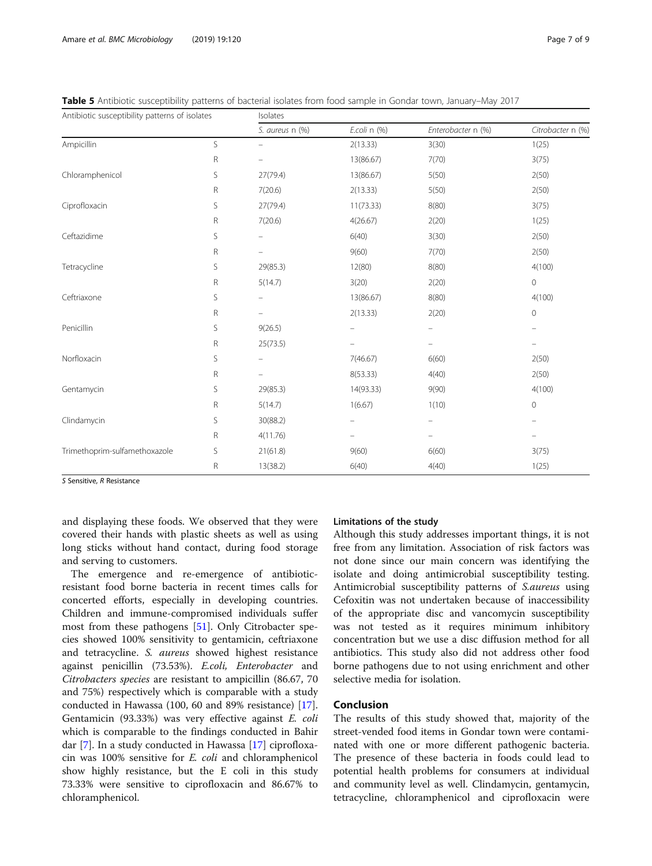<span id="page-6-0"></span>Table 5 Antibiotic susceptibility patterns of bacterial isolates from food sample in Gondar town, January–May 2017

| Antibiotic susceptibility patterns of isolates |           | Isolates                 |                   |                          |                   |  |  |
|------------------------------------------------|-----------|--------------------------|-------------------|--------------------------|-------------------|--|--|
|                                                |           | S. aureus n (%)          | E.coli n (%)      | Enterobacter n (%)       | Citrobacter n (%) |  |  |
| Ampicillin                                     | S         | $\overline{\phantom{0}}$ | 2(13.33)          | 3(30)                    | 1(25)             |  |  |
|                                                | ${\sf R}$ | -                        | 13(86.67)         | 7(70)                    | 3(75)             |  |  |
| Chloramphenicol                                | S         | 27(79.4)                 | 13(86.67)         | 5(50)                    | 2(50)             |  |  |
|                                                | R         | 7(20.6)                  | 2(13.33)          | 5(50)                    | 2(50)             |  |  |
| Ciprofloxacin                                  | S         | 27(79.4)                 | 11(73.33)         | 8(80)                    | 3(75)             |  |  |
|                                                | R         | 7(20.6)                  | 4(26.67)          | 2(20)                    | 1(25)             |  |  |
| Ceftazidime                                    | S         | $\overline{\phantom{0}}$ | 6(40)             | 3(30)                    | 2(50)             |  |  |
|                                                | R         | $\qquad \qquad -$        | 9(60)             | 7(70)                    | 2(50)             |  |  |
| Tetracycline                                   | S         | 29(85.3)                 | 12(80)            | 8(80)                    | 4(100)            |  |  |
|                                                | R         | 5(14.7)                  | 3(20)             | 2(20)                    | 0                 |  |  |
| Ceftriaxone                                    | S         | $\qquad \qquad -$        | 13(86.67)         | 8(80)                    | 4(100)            |  |  |
|                                                | R         | $\overline{\phantom{0}}$ | 2(13.33)          | 2(20)                    | 0                 |  |  |
| Penicillin                                     | S         | 9(26.5)                  | -                 | -                        |                   |  |  |
|                                                | R         | 25(73.5)                 | $\qquad \qquad -$ | -                        |                   |  |  |
| Norfloxacin                                    | S         | -                        | 7(46.67)          | 6(60)                    | 2(50)             |  |  |
|                                                | R         | $\overline{\phantom{0}}$ | 8(53.33)          | 4(40)                    | 2(50)             |  |  |
| Gentamycin                                     | S         | 29(85.3)                 | 14(93.33)         | 9(90)                    | 4(100)            |  |  |
|                                                | R         | 5(14.7)                  | 1(6.67)           | 1(10)                    | 0                 |  |  |
| Clindamycin                                    | S         | 30(88.2)                 | -                 | $\overline{\phantom{0}}$ |                   |  |  |
|                                                | R         | 4(11.76)                 | -                 | -                        |                   |  |  |
| Trimethoprim-sulfamethoxazole                  | S         | 21(61.8)                 | 9(60)             | 6(60)                    | 3(75)             |  |  |
|                                                | R         | 13(38.2)                 | 6(40)             | 4(40)                    | 1(25)             |  |  |

S Sensitive, R Resistance

and displaying these foods. We observed that they were covered their hands with plastic sheets as well as using long sticks without hand contact, during food storage and serving to customers.

The emergence and re-emergence of antibioticresistant food borne bacteria in recent times calls for concerted efforts, especially in developing countries. Children and immune-compromised individuals suffer most from these pathogens [\[51](#page-8-0)]. Only Citrobacter species showed 100% sensitivity to gentamicin, ceftriaxone and tetracycline. S. aureus showed highest resistance against penicillin (73.53%). E.coli, Enterobacter and Citrobacters species are resistant to ampicillin (86.67, 70 and 75%) respectively which is comparable with a study conducted in Hawassa (100, 60 and 89% resistance) [\[17](#page-7-0)]. Gentamicin (93.33%) was very effective against E. coli which is comparable to the findings conducted in Bahir dar [\[7\]](#page-7-0). In a study conducted in Hawassa [\[17](#page-7-0)] ciprofloxacin was 100% sensitive for E. coli and chloramphenicol show highly resistance, but the E coli in this study 73.33% were sensitive to ciprofloxacin and 86.67% to chloramphenicol.

## Limitations of the study

Although this study addresses important things, it is not free from any limitation. Association of risk factors was not done since our main concern was identifying the isolate and doing antimicrobial susceptibility testing. Antimicrobial susceptibility patterns of S.aureus using Cefoxitin was not undertaken because of inaccessibility of the appropriate disc and vancomycin susceptibility was not tested as it requires minimum inhibitory concentration but we use a disc diffusion method for all antibiotics. This study also did not address other food borne pathogens due to not using enrichment and other selective media for isolation.

## Conclusion

The results of this study showed that, majority of the street-vended food items in Gondar town were contaminated with one or more different pathogenic bacteria. The presence of these bacteria in foods could lead to potential health problems for consumers at individual and community level as well. Clindamycin, gentamycin, tetracycline, chloramphenicol and ciprofloxacin were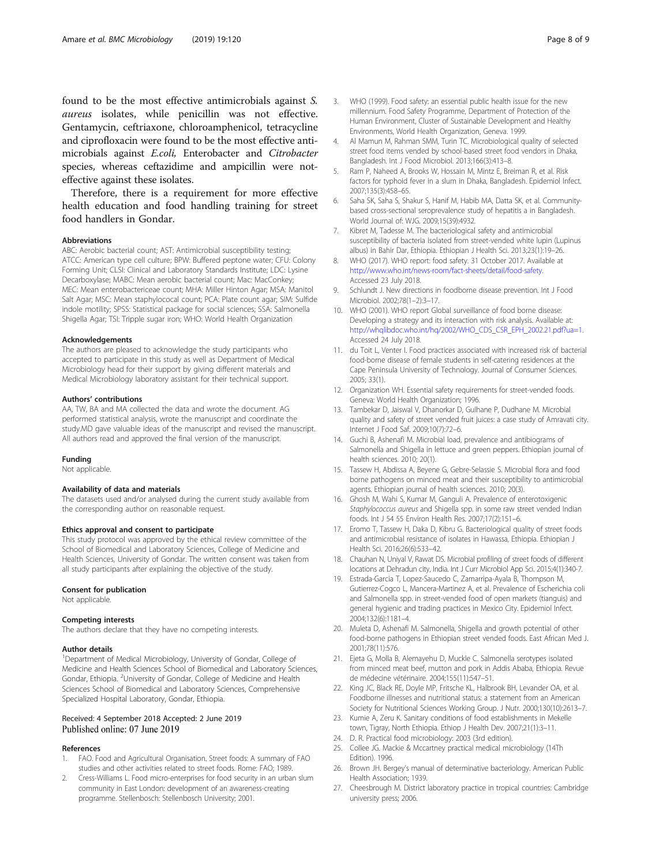<span id="page-7-0"></span>found to be the most effective antimicrobials against S. aureus isolates, while penicillin was not effective. Gentamycin, ceftriaxone, chloroamphenicol, tetracycline and ciprofloxacin were found to be the most effective antimicrobials against E.coli, Enterobacter and Citrobacter species, whereas ceftazidime and ampicillin were noteffective against these isolates.

Therefore, there is a requirement for more effective health education and food handling training for street food handlers in Gondar.

#### Abbreviations

ABC: Aerobic bacterial count; AST: Antimicrobial susceptibility testing; ATCC: American type cell culture; BPW: Buffered peptone water; CFU: Colony Forming Unit; CLSI: Clinical and Laboratory Standards Institute; LDC: Lysine Decarboxylase; MABC: Mean aerobic bacterial count; Mac: MacConkey; MEC: Mean enterobactericeae count; MHA: Miller Hinton Agar; MSA: Manitol Salt Agar; MSC: Mean staphylococal count; PCA: Plate count agar; SIM: Sulfide indole motility; SPSS: Statistical package for social sciences; SSA: Salmonella Shigella Agar; TSI: Tripple sugar iron; WHO: World Health Organization

#### Acknowledgements

The authors are pleased to acknowledge the study participants who accepted to participate in this study as well as Department of Medical Microbiology head for their support by giving different materials and Medical Microbiology laboratory assistant for their technical support.

#### Authors' contributions

AA, TW, BA and MA collected the data and wrote the document. AG performed statistical analysis, wrote the manuscript and coordinate the study.MD gave valuable ideas of the manuscript and revised the manuscript. All authors read and approved the final version of the manuscript.

#### Funding

Not applicable.

#### Availability of data and materials

The datasets used and/or analysed during the current study available from the corresponding author on reasonable request.

#### Ethics approval and consent to participate

This study protocol was approved by the ethical review committee of the School of Biomedical and Laboratory Sciences, College of Medicine and Health Sciences, University of Gondar. The written consent was taken from all study participants after explaining the objective of the study.

#### Consent for publication

Not applicable.

#### Competing interests

The authors declare that they have no competing interests.

#### Author details

<sup>1</sup>Department of Medical Microbiology, University of Gondar, College of Medicine and Health Sciences School of Biomedical and Laboratory Sciences, Gondar, Ethiopia. <sup>2</sup>University of Gondar, College of Medicine and Health Sciences School of Biomedical and Laboratory Sciences, Comprehensive Specialized Hospital Laboratory, Gondar, Ethiopia.

## Received: 4 September 2018 Accepted: 2 June 2019 Published online: 07 June 2019

#### References

- 1. FAO. Food and Agricultural Organisation. Street foods: A summary of FAO studies and other activities related to street foods. Rome: FAO; 1989.
- 2. Cress-Williams L. Food micro-enterprises for food security in an urban slum community in East London: development of an awareness-creating programme. Stellenbosch: Stellenbosch University; 2001.
- 4. Al Mamun M, Rahman SMM, Turin TC. Microbiological quality of selected street food items vended by school-based street food vendors in Dhaka, Bangladesh. Int J Food Microbiol. 2013;166(3):413–8.
- 5. Ram P, Naheed A, Brooks W, Hossain M, Mintz E, Breiman R, et al. Risk factors for typhoid fever in a slum in Dhaka, Bangladesh. Epidemiol Infect. 2007;135(3):458–65.
- 6. Saha SK, Saha S, Shakur S, Hanif M, Habib MA, Datta SK, et al. Communitybased cross-sectional seroprevalence study of hepatitis a in Bangladesh. World Journal of: WJG. 2009;15(39):4932.
- 7. Kibret M, Tadesse M. The bacteriological safety and antimicrobial susceptibility of bacteria isolated from street-vended white lupin (Lupinus albus) in Bahir Dar, Ethiopia. Ethiopian J Health Sci. 2013;23(1):19–26.
- 8. WHO (2017). WHO report: food safety. 31 October 2017. Available at <http://www.who.int/news-room/fact-sheets/detail/food-safety>. Accessed 23 July 2018.
- 9. Schlundt J. New directions in foodborne disease prevention. Int J Food Microbiol. 2002;78(1–2):3–17.
- 10. WHO (2001). WHO report Global surveillance of food borne disease: Developing a strategy and its interaction with risk analysis. Available at: [http://whqlibdoc.who.int/hq/2002/WHO\\_CDS\\_CSR\\_EPH\\_2002.21.pdf?ua=1](http://whqlibdoc.who.int/hq/2002/WHO_CDS_CSR_EPH_2002.21.pdf?ua=1). Accessed 24 July 2018.
- 11. du Toit L, Venter I. Food practices associated with increased risk of bacterial food-borne disease of female students in self-catering residences at the Cape Peninsula University of Technology. Journal of Consumer Sciences. 2005; 33(1).
- 12. Organization WH. Essential safety requirements for street-vended foods. Geneva: World Health Organization; 1996.
- 13. Tambekar D, Jaiswal V, Dhanorkar D, Gulhane P, Dudhane M. Microbial quality and safety of street vended fruit juices: a case study of Amravati city. Internet J Food Saf. 2009;10(7):72–6.
- 14. Guchi B, Ashenafi M. Microbial load, prevalence and antibiograms of Salmonella and Shigella in lettuce and green peppers. Ethiopian journal of health sciences. 2010; 20(1).
- 15. Tassew H, Abdissa A, Beyene G, Gebre-Selassie S. Microbial flora and food borne pathogens on minced meat and their susceptibility to antimicrobial agents. Ethiopian journal of health sciences. 2010; 20(3).
- 16. Ghosh M, Wahi S, Kumar M, Ganguli A. Prevalence of enterotoxigenic Staphylococcus aureus and Shigella spp. in some raw street vended Indian foods. Int J 54 55 Environ Health Res. 2007;17(2):151–6.
- 17. Eromo T, Tassew H, Daka D, Kibru G. Bacteriological quality of street foods and antimicrobial resistance of isolates in Hawassa, Ethiopia. Ethiopian J Health Sci. 2016;26(6):533–42.
- 18. Chauhan N, Uniyal V, Rawat DS. Microbial profiling of street foods of different locations at Dehradun city, India. Int J Curr Microbiol App Sci. 2015;4(1):340-7.
- 19. Estrada-Garcia T, Lopez-Saucedo C, Zamarripa-Ayala B, Thompson M, Gutierrez-Cogco L, Mancera-Martinez A, et al. Prevalence of Escherichia coli and Salmonella spp. in street-vended food of open markets (tianguis) and general hygienic and trading practices in Mexico City. Epidemiol Infect. 2004;132(6):1181–4.
- 20. Muleta D, Ashenafi M. Salmonella, Shigella and growth potential of other food-borne pathogens in Ethiopian street vended foods. East African Med J. 2001;78(11):576.
- 21. Ejeta G, Molla B, Alemayehu D, Muckle C. Salmonella serotypes isolated from minced meat beef, mutton and pork in Addis Ababa, Ethiopia. Revue de médecine vétérinaire. 2004;155(11):547–51.
- 22. King JC, Black RE, Doyle MP, Fritsche KL, Halbrook BH, Levander OA, et al. Foodborne illnesses and nutritional status: a statement from an American Society for Nutritional Sciences Working Group. J Nutr. 2000;130(10):2613–7.
- 23. Kumie A, Zeru K. Sanitary conditions of food establishments in Mekelle town, Tigray, North Ethiopia. Ethiop J Health Dev. 2007;21(1):3–11.
- 24. D. R. Practical food microbiology: 2003 (3rd edition).
- 25. Collee JG. Mackie & Mccartney practical medical microbiology (14Th Edition). 1996.
- 26. Brown JH. Bergey's manual of determinative bacteriology. American Public Health Association; 1939.
- 27. Cheesbrough M. District laboratory practice in tropical countries: Cambridge university press; 2006.